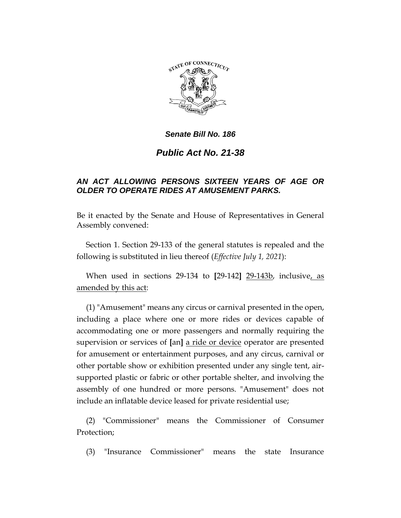

### *Senate Bill No. 186*

# *Public Act No. 21-38*

### *AN ACT ALLOWING PERSONS SIXTEEN YEARS OF AGE OR OLDER TO OPERATE RIDES AT AMUSEMENT PARKS.*

Be it enacted by the Senate and House of Representatives in General Assembly convened:

Section 1. Section 29-133 of the general statutes is repealed and the following is substituted in lieu thereof (*Effective July 1, 2021*):

When used in sections 29-134 to **[**29-142**]** 29-143b, inclusive, as amended by this act:

(1) "Amusement" means any circus or carnival presented in the open, including a place where one or more rides or devices capable of accommodating one or more passengers and normally requiring the supervision or services of **[**an**]** a ride or device operator are presented for amusement or entertainment purposes, and any circus, carnival or other portable show or exhibition presented under any single tent, airsupported plastic or fabric or other portable shelter, and involving the assembly of one hundred or more persons. "Amusement" does not include an inflatable device leased for private residential use;

(2) "Commissioner" means the Commissioner of Consumer Protection;

(3) "Insurance Commissioner" means the state Insurance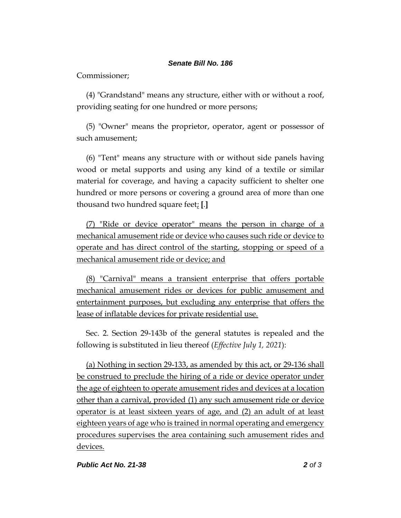#### *Senate Bill No. 186*

Commissioner;

(4) "Grandstand" means any structure, either with or without a roof, providing seating for one hundred or more persons;

(5) "Owner" means the proprietor, operator, agent or possessor of such amusement;

(6) "Tent" means any structure with or without side panels having wood or metal supports and using any kind of a textile or similar material for coverage, and having a capacity sufficient to shelter one hundred or more persons or covering a ground area of more than one thousand two hundred square feet; **[**.**]**

(7) "Ride or device operator" means the person in charge of a mechanical amusement ride or device who causes such ride or device to operate and has direct control of the starting, stopping or speed of a mechanical amusement ride or device; and

(8) "Carnival" means a transient enterprise that offers portable mechanical amusement rides or devices for public amusement and entertainment purposes, but excluding any enterprise that offers the lease of inflatable devices for private residential use.

Sec. 2. Section 29-143b of the general statutes is repealed and the following is substituted in lieu thereof (*Effective July 1, 2021*):

(a) Nothing in section 29-133, as amended by this act, or 29-136 shall be construed to preclude the hiring of a ride or device operator under the age of eighteen to operate amusement rides and devices at a location other than a carnival, provided (1) any such amusement ride or device operator is at least sixteen years of age, and (2) an adult of at least eighteen years of age who is trained in normal operating and emergency procedures supervises the area containing such amusement rides and devices.